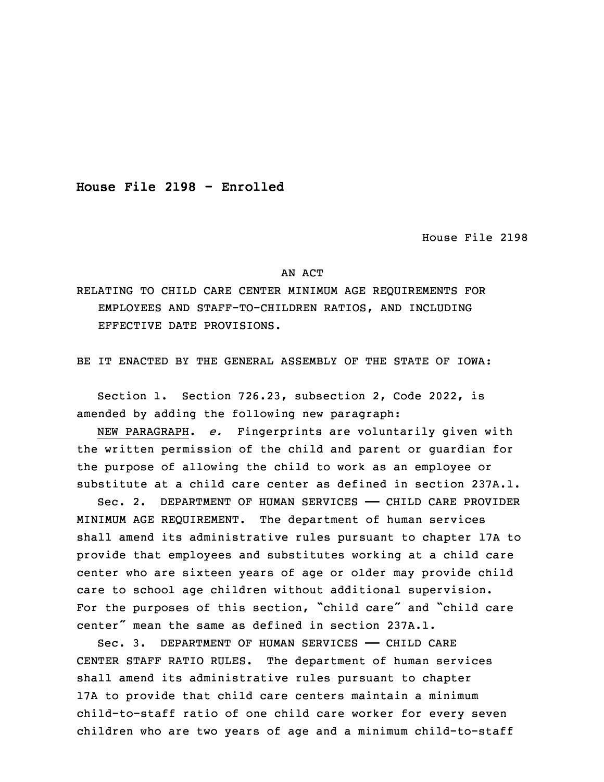**House File 2198 - Enrolled**

House File 2198

## AN ACT

RELATING TO CHILD CARE CENTER MINIMUM AGE REQUIREMENTS FOR EMPLOYEES AND STAFF-TO-CHILDREN RATIOS, AND INCLUDING EFFECTIVE DATE PROVISIONS.

BE IT ENACTED BY THE GENERAL ASSEMBLY OF THE STATE OF IOWA:

 Section 1. Section 726.23, subsection 2, Code 2022, is amended by adding the following new paragraph:

3 NEW PARAGRAPH. *e.* Fingerprints are voluntarily given with the written permission of the child and parent or guardian for the purpose of allowing the child to work as an employee or substitute at a child care center as defined in section 237A.1.

7 Sec. 2. DEPARTMENT OF HUMAN SERVICES —— CHILD CARE PROVIDER MINIMUM AGE REQUIREMENT. The department of human services shall amend its administrative rules pursuant to chapter 17A to provide that employees and substitutes working at a child care center who are sixteen years of age or older may provide child care to school age children without additional supervision. For the purposes of this section, "child care" and "child care center" mean the same as defined in section 237A.1.

Sec. 3. DEPARTMENT OF HUMAN SERVICES - CHILD CARE CENTER STAFF RATIO RULES. The department of human services shall amend its administrative rules pursuant to chapter 17A to provide that child care centers maintain a minimum child-to-staff ratio of one child care worker for every seven children who are two years of age and a minimum child-to-staff